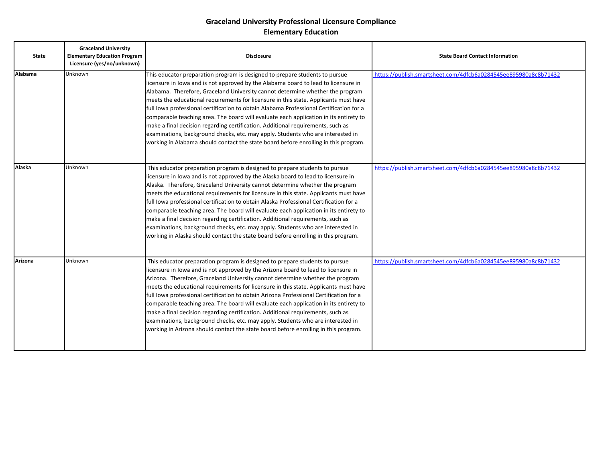| <b>State</b> | <b>Graceland University</b><br><b>Elementary Education Program</b><br>Licensure (yes/no/unknown) | <b>Disclosure</b>                                                                                                                                                                                                                                                                                                                                                                                                                                                                                                                                                                                                                                                                                                                                                                           | <b>State Board Contact Information</b>                          |
|--------------|--------------------------------------------------------------------------------------------------|---------------------------------------------------------------------------------------------------------------------------------------------------------------------------------------------------------------------------------------------------------------------------------------------------------------------------------------------------------------------------------------------------------------------------------------------------------------------------------------------------------------------------------------------------------------------------------------------------------------------------------------------------------------------------------------------------------------------------------------------------------------------------------------------|-----------------------------------------------------------------|
| Alabama      | Unknown                                                                                          | This educator preparation program is designed to prepare students to pursue<br>licensure in lowa and is not approved by the Alabama board to lead to licensure in<br>Alabama. Therefore, Graceland University cannot determine whether the program<br>meets the educational requirements for licensure in this state. Applicants must have<br>full Iowa professional certification to obtain Alabama Professional Certification for a<br>comparable teaching area. The board will evaluate each application in its entirety to<br>make a final decision regarding certification. Additional requirements, such as<br>examinations, background checks, etc. may apply. Students who are interested in<br>working in Alabama should contact the state board before enrolling in this program. | https://publish.smartsheet.com/4dfcb6a0284545ee895980a8c8b71432 |
| Alaska       | Unknown                                                                                          | This educator preparation program is designed to prepare students to pursue<br>licensure in lowa and is not approved by the Alaska board to lead to licensure in<br>Alaska. Therefore, Graceland University cannot determine whether the program<br>meets the educational requirements for licensure in this state. Applicants must have<br>full Iowa professional certification to obtain Alaska Professional Certification for a<br>comparable teaching area. The board will evaluate each application in its entirety to<br>make a final decision regarding certification. Additional requirements, such as<br>examinations, background checks, etc. may apply. Students who are interested in<br>working in Alaska should contact the state board before enrolling in this program.     | https://publish.smartsheet.com/4dfcb6a0284545ee895980a8c8b71432 |
| Arizona      | Unknown                                                                                          | This educator preparation program is designed to prepare students to pursue<br>licensure in lowa and is not approved by the Arizona board to lead to licensure in<br>Arizona. Therefore, Graceland University cannot determine whether the program<br>meets the educational requirements for licensure in this state. Applicants must have<br>full Iowa professional certification to obtain Arizona Professional Certification for a<br>comparable teaching area. The board will evaluate each application in its entirety to<br>make a final decision regarding certification. Additional requirements, such as<br>examinations, background checks, etc. may apply. Students who are interested in<br>working in Arizona should contact the state board before enrolling in this program. | https://publish.smartsheet.com/4dfcb6a0284545ee895980a8c8b71432 |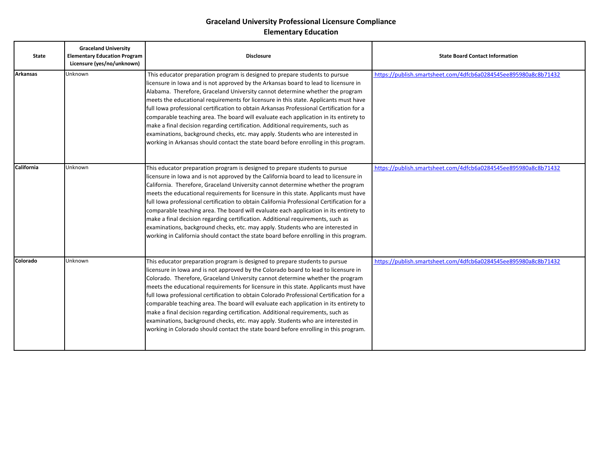| <b>State</b>      | <b>Graceland University</b><br><b>Elementary Education Program</b><br>Licensure (yes/no/unknown) | <b>Disclosure</b>                                                                                                                                                                                                                                                                                                                                                                                                                                                                                                                                                                                                                                                                                                                                                                                       | <b>State Board Contact Information</b>                          |
|-------------------|--------------------------------------------------------------------------------------------------|---------------------------------------------------------------------------------------------------------------------------------------------------------------------------------------------------------------------------------------------------------------------------------------------------------------------------------------------------------------------------------------------------------------------------------------------------------------------------------------------------------------------------------------------------------------------------------------------------------------------------------------------------------------------------------------------------------------------------------------------------------------------------------------------------------|-----------------------------------------------------------------|
| <b>Arkansas</b>   | Unknown                                                                                          | This educator preparation program is designed to prepare students to pursue<br>licensure in lowa and is not approved by the Arkansas board to lead to licensure in<br>Alabama. Therefore, Graceland University cannot determine whether the program<br>meets the educational requirements for licensure in this state. Applicants must have<br>full Iowa professional certification to obtain Arkansas Professional Certification for a<br>comparable teaching area. The board will evaluate each application in its entirety to<br>make a final decision regarding certification. Additional requirements, such as<br>examinations, background checks, etc. may apply. Students who are interested in<br>working in Arkansas should contact the state board before enrolling in this program.          | https://publish.smartsheet.com/4dfcb6a0284545ee895980a8c8b71432 |
| <b>California</b> | Unknown                                                                                          | This educator preparation program is designed to prepare students to pursue<br>licensure in lowa and is not approved by the California board to lead to licensure in<br>California. Therefore, Graceland University cannot determine whether the program<br>meets the educational requirements for licensure in this state. Applicants must have<br>full Iowa professional certification to obtain California Professional Certification for a<br>comparable teaching area. The board will evaluate each application in its entirety to<br>make a final decision regarding certification. Additional requirements, such as<br>examinations, background checks, etc. may apply. Students who are interested in<br>working in California should contact the state board before enrolling in this program. | https://publish.smartsheet.com/4dfcb6a0284545ee895980a8c8b71432 |
| Colorado          | Unknown                                                                                          | This educator preparation program is designed to prepare students to pursue<br>licensure in lowa and is not approved by the Colorado board to lead to licensure in<br>Colorado. Therefore, Graceland University cannot determine whether the program<br>meets the educational requirements for licensure in this state. Applicants must have<br>full Iowa professional certification to obtain Colorado Professional Certification for a<br>comparable teaching area. The board will evaluate each application in its entirety to<br>make a final decision regarding certification. Additional requirements, such as<br>examinations, background checks, etc. may apply. Students who are interested in<br>working in Colorado should contact the state board before enrolling in this program.         | https://publish.smartsheet.com/4dfcb6a0284545ee895980a8c8b71432 |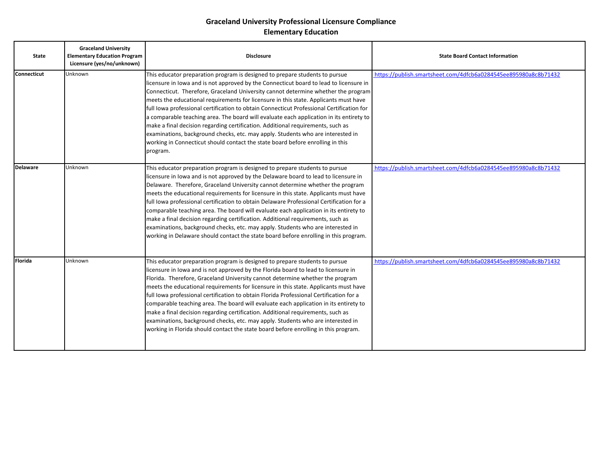| <b>State</b>       | <b>Graceland University</b><br><b>Elementary Education Program</b><br>Licensure (yes/no/unknown) | <b>Disclosure</b>                                                                                                                                                                                                                                                                                                                                                                                                                                                                                                                                                                                                                                                                                                                                                                                              | <b>State Board Contact Information</b>                          |
|--------------------|--------------------------------------------------------------------------------------------------|----------------------------------------------------------------------------------------------------------------------------------------------------------------------------------------------------------------------------------------------------------------------------------------------------------------------------------------------------------------------------------------------------------------------------------------------------------------------------------------------------------------------------------------------------------------------------------------------------------------------------------------------------------------------------------------------------------------------------------------------------------------------------------------------------------------|-----------------------------------------------------------------|
| <b>Connecticut</b> | Unknown                                                                                          | This educator preparation program is designed to prepare students to pursue<br>licensure in lowa and is not approved by the Connecticut board to lead to licensure in<br>Connecticut. Therefore, Graceland University cannot determine whether the program<br>meets the educational requirements for licensure in this state. Applicants must have<br>full Iowa professional certification to obtain Connecticut Professional Certification for<br>a comparable teaching area. The board will evaluate each application in its entirety to<br>make a final decision regarding certification. Additional requirements, such as<br>examinations, background checks, etc. may apply. Students who are interested in<br>working in Connecticut should contact the state board before enrolling in this<br>program. | https://publish.smartsheet.com/4dfcb6a0284545ee895980a8c8b71432 |
| <b>Delaware</b>    | Unknown                                                                                          | This educator preparation program is designed to prepare students to pursue<br>licensure in lowa and is not approved by the Delaware board to lead to licensure in<br>Delaware. Therefore, Graceland University cannot determine whether the program<br>meets the educational requirements for licensure in this state. Applicants must have<br>full Iowa professional certification to obtain Delaware Professional Certification for a<br>comparable teaching area. The board will evaluate each application in its entirety to<br>make a final decision regarding certification. Additional requirements, such as<br>examinations, background checks, etc. may apply. Students who are interested in<br>working in Delaware should contact the state board before enrolling in this program.                | https://publish.smartsheet.com/4dfcb6a0284545ee895980a8c8b71432 |
| <b>Florida</b>     | Unknown                                                                                          | This educator preparation program is designed to prepare students to pursue<br>licensure in lowa and is not approved by the Florida board to lead to licensure in<br>Florida. Therefore, Graceland University cannot determine whether the program<br>meets the educational requirements for licensure in this state. Applicants must have<br>full Iowa professional certification to obtain Florida Professional Certification for a<br>comparable teaching area. The board will evaluate each application in its entirety to<br>make a final decision regarding certification. Additional requirements, such as<br>examinations, background checks, etc. may apply. Students who are interested in<br>working in Florida should contact the state board before enrolling in this program.                    | https://publish.smartsheet.com/4dfcb6a0284545ee895980a8c8b71432 |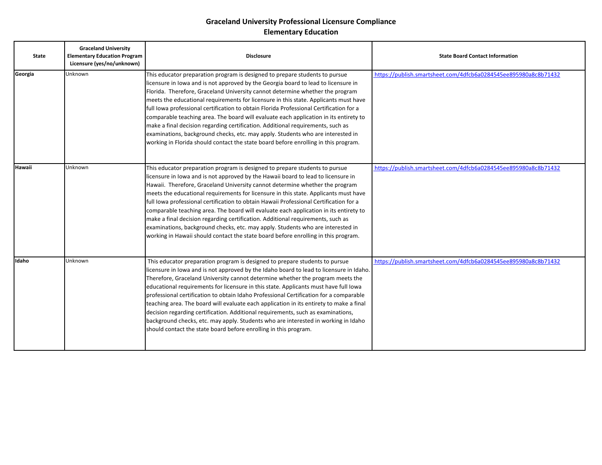| <b>State</b>  | <b>Graceland University</b><br><b>Elementary Education Program</b><br>Licensure (yes/no/unknown) | <b>Disclosure</b>                                                                                                                                                                                                                                                                                                                                                                                                                                                                                                                                                                                                                                                                                                                                                                           | <b>State Board Contact Information</b>                          |
|---------------|--------------------------------------------------------------------------------------------------|---------------------------------------------------------------------------------------------------------------------------------------------------------------------------------------------------------------------------------------------------------------------------------------------------------------------------------------------------------------------------------------------------------------------------------------------------------------------------------------------------------------------------------------------------------------------------------------------------------------------------------------------------------------------------------------------------------------------------------------------------------------------------------------------|-----------------------------------------------------------------|
| Georgia       | Unknown                                                                                          | This educator preparation program is designed to prepare students to pursue<br>licensure in lowa and is not approved by the Georgia board to lead to licensure in<br>Florida. Therefore, Graceland University cannot determine whether the program<br>meets the educational requirements for licensure in this state. Applicants must have<br>full Iowa professional certification to obtain Florida Professional Certification for a<br>comparable teaching area. The board will evaluate each application in its entirety to<br>make a final decision regarding certification. Additional requirements, such as<br>examinations, background checks, etc. may apply. Students who are interested in<br>working in Florida should contact the state board before enrolling in this program. | https://publish.smartsheet.com/4dfcb6a0284545ee895980a8c8b71432 |
| <b>Hawaii</b> | Unknown                                                                                          | This educator preparation program is designed to prepare students to pursue<br>licensure in lowa and is not approved by the Hawaii board to lead to licensure in<br>Hawaii. Therefore, Graceland University cannot determine whether the program<br>meets the educational requirements for licensure in this state. Applicants must have<br>full Iowa professional certification to obtain Hawaii Professional Certification for a<br>comparable teaching area. The board will evaluate each application in its entirety to<br>make a final decision regarding certification. Additional requirements, such as<br>examinations, background checks, etc. may apply. Students who are interested in<br>working in Hawaii should contact the state board before enrolling in this program.     | https://publish.smartsheet.com/4dfcb6a0284545ee895980a8c8b71432 |
| Idaho         | Unknown                                                                                          | This educator preparation program is designed to prepare students to pursue<br>licensure in lowa and is not approved by the Idaho board to lead to licensure in Idaho.<br>Therefore, Graceland University cannot determine whether the program meets the<br>educational requirements for licensure in this state. Applicants must have full lowa<br>professional certification to obtain Idaho Professional Certification for a comparable<br>teaching area. The board will evaluate each application in its entirety to make a final<br>decision regarding certification. Additional requirements, such as examinations,<br>background checks, etc. may apply. Students who are interested in working in Idaho<br>should contact the state board before enrolling in this program.         | https://publish.smartsheet.com/4dfcb6a0284545ee895980a8c8b71432 |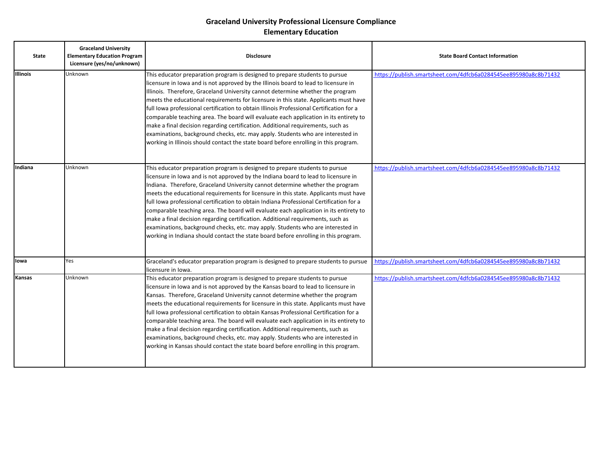| <b>State</b>    | <b>Graceland University</b><br><b>Elementary Education Program</b><br>Licensure (yes/no/unknown) | <b>Disclosure</b>                                                                                                                                                                                                                                                                                                                                                                                                                                                                                                                                                                                                                                                                                                                                                                               | <b>State Board Contact Information</b>                          |
|-----------------|--------------------------------------------------------------------------------------------------|-------------------------------------------------------------------------------------------------------------------------------------------------------------------------------------------------------------------------------------------------------------------------------------------------------------------------------------------------------------------------------------------------------------------------------------------------------------------------------------------------------------------------------------------------------------------------------------------------------------------------------------------------------------------------------------------------------------------------------------------------------------------------------------------------|-----------------------------------------------------------------|
| <b>Illinois</b> | Unknown                                                                                          | This educator preparation program is designed to prepare students to pursue<br>licensure in lowa and is not approved by the Illinois board to lead to licensure in<br>Illinois. Therefore, Graceland University cannot determine whether the program<br>meets the educational requirements for licensure in this state. Applicants must have<br>full Iowa professional certification to obtain Illinois Professional Certification for a<br>comparable teaching area. The board will evaluate each application in its entirety to<br>make a final decision regarding certification. Additional requirements, such as<br>examinations, background checks, etc. may apply. Students who are interested in<br>working in Illinois should contact the state board before enrolling in this program. | https://publish.smartsheet.com/4dfcb6a0284545ee895980a8c8b71432 |
| Indiana         | Unknown                                                                                          | This educator preparation program is designed to prepare students to pursue<br>licensure in lowa and is not approved by the Indiana board to lead to licensure in<br>Indiana. Therefore, Graceland University cannot determine whether the program<br>meets the educational requirements for licensure in this state. Applicants must have<br>full Iowa professional certification to obtain Indiana Professional Certification for a<br>comparable teaching area. The board will evaluate each application in its entirety to<br>make a final decision regarding certification. Additional requirements, such as<br>examinations, background checks, etc. may apply. Students who are interested in<br>working in Indiana should contact the state board before enrolling in this program.     | https://publish.smartsheet.com/4dfcb6a0284545ee895980a8c8b71432 |
| lowa            | Yes                                                                                              | Graceland's educator preparation program is designed to prepare students to pursue<br>licensure in Iowa.                                                                                                                                                                                                                                                                                                                                                                                                                                                                                                                                                                                                                                                                                        | https://publish.smartsheet.com/4dfcb6a0284545ee895980a8c8b71432 |
| Kansas          | Unknown                                                                                          | This educator preparation program is designed to prepare students to pursue<br>licensure in lowa and is not approved by the Kansas board to lead to licensure in<br>Kansas. Therefore, Graceland University cannot determine whether the program<br>meets the educational requirements for licensure in this state. Applicants must have<br>full Iowa professional certification to obtain Kansas Professional Certification for a<br>comparable teaching area. The board will evaluate each application in its entirety to<br>make a final decision regarding certification. Additional requirements, such as<br>examinations, background checks, etc. may apply. Students who are interested in<br>working in Kansas should contact the state board before enrolling in this program.         | https://publish.smartsheet.com/4dfcb6a0284545ee895980a8c8b71432 |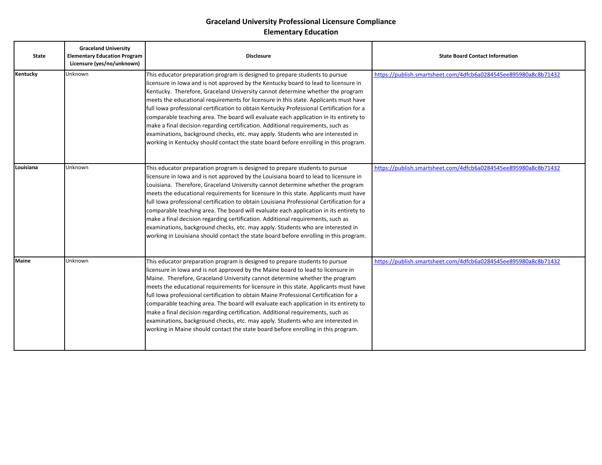| <b>State</b> | <b>Graceland University</b><br><b>Elementary Education Program</b><br>Licensure (yes/no/unknown) | <b>Disclosure</b>                                                                                                                                                                                                                                                                                                                                                                                                                                                                                                                                                                                                                                                                                                                                                                                   | <b>State Board Contact Information</b>                          |
|--------------|--------------------------------------------------------------------------------------------------|-----------------------------------------------------------------------------------------------------------------------------------------------------------------------------------------------------------------------------------------------------------------------------------------------------------------------------------------------------------------------------------------------------------------------------------------------------------------------------------------------------------------------------------------------------------------------------------------------------------------------------------------------------------------------------------------------------------------------------------------------------------------------------------------------------|-----------------------------------------------------------------|
| Kentucky     | Unknown                                                                                          | This educator preparation program is designed to prepare students to pursue<br>licensure in lowa and is not approved by the Kentucky board to lead to licensure in<br>Kentucky. Therefore, Graceland University cannot determine whether the program<br>meets the educational requirements for licensure in this state. Applicants must have<br>full Iowa professional certification to obtain Kentucky Professional Certification for a<br>comparable teaching area. The board will evaluate each application in its entirety to<br>make a final decision regarding certification. Additional requirements, such as<br>examinations, background checks, etc. may apply. Students who are interested in<br>working in Kentucky should contact the state board before enrolling in this program.     | https://publish.smartsheet.com/4dfcb6a0284545ee895980a8c8b71432 |
| Louisiana    | Unknown                                                                                          | This educator preparation program is designed to prepare students to pursue<br>licensure in lowa and is not approved by the Louisiana board to lead to licensure in<br>Louisiana. Therefore, Graceland University cannot determine whether the program<br>meets the educational requirements for licensure in this state. Applicants must have<br>full Iowa professional certification to obtain Louisiana Professional Certification for a<br>comparable teaching area. The board will evaluate each application in its entirety to<br>make a final decision regarding certification. Additional requirements, such as<br>examinations, background checks, etc. may apply. Students who are interested in<br>working in Louisiana should contact the state board before enrolling in this program. | https://publish.smartsheet.com/4dfcb6a0284545ee895980a8c8b71432 |
| <b>Maine</b> | Unknown                                                                                          | This educator preparation program is designed to prepare students to pursue<br>licensure in lowa and is not approved by the Maine board to lead to licensure in<br>Maine. Therefore, Graceland University cannot determine whether the program<br>meets the educational requirements for licensure in this state. Applicants must have<br>full Iowa professional certification to obtain Maine Professional Certification for a<br>comparable teaching area. The board will evaluate each application in its entirety to<br>make a final decision regarding certification. Additional requirements, such as<br>examinations, background checks, etc. may apply. Students who are interested in<br>working in Maine should contact the state board before enrolling in this program.                 | https://publish.smartsheet.com/4dfcb6a0284545ee895980a8c8b71432 |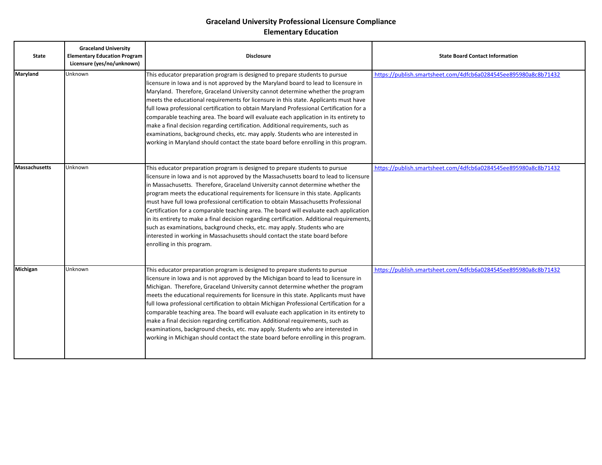| <b>State</b>         | <b>Graceland University</b><br><b>Elementary Education Program</b><br>Licensure (yes/no/unknown) | <b>Disclosure</b>                                                                                                                                                                                                                                                                                                                                                                                                                                                                                                                                                                                                                                                                                                                                                                                                      | <b>State Board Contact Information</b>                          |
|----------------------|--------------------------------------------------------------------------------------------------|------------------------------------------------------------------------------------------------------------------------------------------------------------------------------------------------------------------------------------------------------------------------------------------------------------------------------------------------------------------------------------------------------------------------------------------------------------------------------------------------------------------------------------------------------------------------------------------------------------------------------------------------------------------------------------------------------------------------------------------------------------------------------------------------------------------------|-----------------------------------------------------------------|
| Maryland             | Unknown                                                                                          | This educator preparation program is designed to prepare students to pursue<br>licensure in lowa and is not approved by the Maryland board to lead to licensure in<br>Maryland. Therefore, Graceland University cannot determine whether the program<br>meets the educational requirements for licensure in this state. Applicants must have<br>full Iowa professional certification to obtain Maryland Professional Certification for a<br>comparable teaching area. The board will evaluate each application in its entirety to<br>make a final decision regarding certification. Additional requirements, such as<br>examinations, background checks, etc. may apply. Students who are interested in<br>working in Maryland should contact the state board before enrolling in this program.                        | https://publish.smartsheet.com/4dfcb6a0284545ee895980a8c8b71432 |
| <b>Massachusetts</b> | Unknown                                                                                          | This educator preparation program is designed to prepare students to pursue<br>licensure in lowa and is not approved by the Massachusetts board to lead to licensure<br>in Massachusetts. Therefore, Graceland University cannot determine whether the<br>program meets the educational requirements for licensure in this state. Applicants<br>must have full Iowa professional certification to obtain Massachusetts Professional<br>Certification for a comparable teaching area. The board will evaluate each application<br>in its entirety to make a final decision regarding certification. Additional requirements,<br>such as examinations, background checks, etc. may apply. Students who are<br>interested in working in Massachusetts should contact the state board before<br>enrolling in this program. | https://publish.smartsheet.com/4dfcb6a0284545ee895980a8c8b71432 |
| Michigan             | Unknown                                                                                          | This educator preparation program is designed to prepare students to pursue<br>licensure in lowa and is not approved by the Michigan board to lead to licensure in<br>Michigan. Therefore, Graceland University cannot determine whether the program<br>meets the educational requirements for licensure in this state. Applicants must have<br>full Iowa professional certification to obtain Michigan Professional Certification for a<br>comparable teaching area. The board will evaluate each application in its entirety to<br>make a final decision regarding certification. Additional requirements, such as<br>examinations, background checks, etc. may apply. Students who are interested in<br>working in Michigan should contact the state board before enrolling in this program.                        | https://publish.smartsheet.com/4dfcb6a0284545ee895980a8c8b71432 |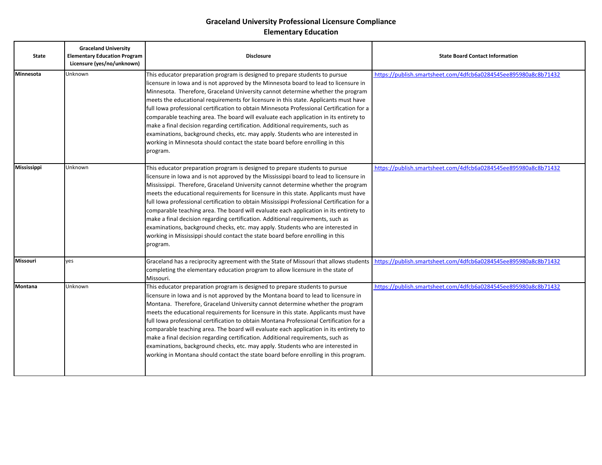| <b>State</b>       | <b>Graceland University</b><br><b>Elementary Education Program</b><br>Licensure (yes/no/unknown) | <b>Disclosure</b>                                                                                                                                                                                                                                                                                                                                                                                                                                                                                                                                                                                                                                                                                                                                                                                              | <b>State Board Contact Information</b>                          |
|--------------------|--------------------------------------------------------------------------------------------------|----------------------------------------------------------------------------------------------------------------------------------------------------------------------------------------------------------------------------------------------------------------------------------------------------------------------------------------------------------------------------------------------------------------------------------------------------------------------------------------------------------------------------------------------------------------------------------------------------------------------------------------------------------------------------------------------------------------------------------------------------------------------------------------------------------------|-----------------------------------------------------------------|
| Minnesota          | Unknown                                                                                          | This educator preparation program is designed to prepare students to pursue<br>licensure in Iowa and is not approved by the Minnesota board to lead to licensure in<br>Minnesota. Therefore, Graceland University cannot determine whether the program<br>meets the educational requirements for licensure in this state. Applicants must have<br>full Iowa professional certification to obtain Minnesota Professional Certification for a<br>comparable teaching area. The board will evaluate each application in its entirety to<br>make a final decision regarding certification. Additional requirements, such as<br>examinations, background checks, etc. may apply. Students who are interested in<br>working in Minnesota should contact the state board before enrolling in this<br>program.         | https://publish.smartsheet.com/4dfcb6a0284545ee895980a8c8b71432 |
| <b>Mississippi</b> | Unknown                                                                                          | This educator preparation program is designed to prepare students to pursue<br>licensure in lowa and is not approved by the Mississippi board to lead to licensure in<br>Mississippi. Therefore, Graceland University cannot determine whether the program<br>meets the educational requirements for licensure in this state. Applicants must have<br>full Iowa professional certification to obtain Mississippi Professional Certification for a<br>comparable teaching area. The board will evaluate each application in its entirety to<br>make a final decision regarding certification. Additional requirements, such as<br>examinations, background checks, etc. may apply. Students who are interested in<br>working in Mississippi should contact the state board before enrolling in this<br>program. | https://publish.smartsheet.com/4dfcb6a0284545ee895980a8c8b71432 |
| Missouri           | lves                                                                                             | Graceland has a reciprocity agreement with the State of Missouri that allows students<br>completing the elementary education program to allow licensure in the state of<br>Missouri.                                                                                                                                                                                                                                                                                                                                                                                                                                                                                                                                                                                                                           | https://publish.smartsheet.com/4dfcb6a0284545ee895980a8c8b71432 |
| Montana            | Unknown                                                                                          | This educator preparation program is designed to prepare students to pursue<br>licensure in lowa and is not approved by the Montana board to lead to licensure in<br>Montana. Therefore, Graceland University cannot determine whether the program<br>meets the educational requirements for licensure in this state. Applicants must have<br>full Iowa professional certification to obtain Montana Professional Certification for a<br>comparable teaching area. The board will evaluate each application in its entirety to<br>make a final decision regarding certification. Additional requirements, such as<br>examinations, background checks, etc. may apply. Students who are interested in<br>working in Montana should contact the state board before enrolling in this program.                    | https://publish.smartsheet.com/4dfcb6a0284545ee895980a8c8b71432 |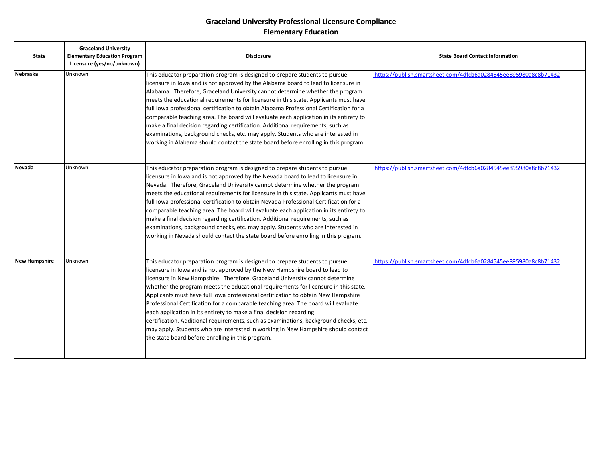| <b>State</b>         | <b>Graceland University</b><br><b>Elementary Education Program</b><br>Licensure (yes/no/unknown) | <b>Disclosure</b>                                                                                                                                                                                                                                                                                                                                                                                                                                                                                                                                                                                                                                                                                                                                                                                                      | <b>State Board Contact Information</b>                          |
|----------------------|--------------------------------------------------------------------------------------------------|------------------------------------------------------------------------------------------------------------------------------------------------------------------------------------------------------------------------------------------------------------------------------------------------------------------------------------------------------------------------------------------------------------------------------------------------------------------------------------------------------------------------------------------------------------------------------------------------------------------------------------------------------------------------------------------------------------------------------------------------------------------------------------------------------------------------|-----------------------------------------------------------------|
| Nebraska             | Unknown                                                                                          | This educator preparation program is designed to prepare students to pursue<br>licensure in lowa and is not approved by the Alabama board to lead to licensure in<br>Alabama. Therefore, Graceland University cannot determine whether the program<br>meets the educational requirements for licensure in this state. Applicants must have<br>full Iowa professional certification to obtain Alabama Professional Certification for a<br>comparable teaching area. The board will evaluate each application in its entirety to<br>make a final decision regarding certification. Additional requirements, such as<br>examinations, background checks, etc. may apply. Students who are interested in<br>working in Alabama should contact the state board before enrolling in this program.                            | https://publish.smartsheet.com/4dfcb6a0284545ee895980a8c8b71432 |
| <b>Nevada</b>        | Unknown                                                                                          | This educator preparation program is designed to prepare students to pursue<br>licensure in Iowa and is not approved by the Nevada board to lead to licensure in<br>Nevada. Therefore, Graceland University cannot determine whether the program<br>meets the educational requirements for licensure in this state. Applicants must have<br>full Iowa professional certification to obtain Nevada Professional Certification for a<br>comparable teaching area. The board will evaluate each application in its entirety to<br>make a final decision regarding certification. Additional requirements, such as<br>examinations, background checks, etc. may apply. Students who are interested in<br>working in Nevada should contact the state board before enrolling in this program.                                | https://publish.smartsheet.com/4dfcb6a0284545ee895980a8c8b71432 |
| <b>New Hampshire</b> | Unknown                                                                                          | This educator preparation program is designed to prepare students to pursue<br>licensure in lowa and is not approved by the New Hampshire board to lead to<br>licensure in New Hampshire. Therefore, Graceland University cannot determine<br>whether the program meets the educational requirements for licensure in this state.<br>Applicants must have full lowa professional certification to obtain New Hampshire<br>Professional Certification for a comparable teaching area. The board will evaluate<br>each application in its entirety to make a final decision regarding<br>certification. Additional requirements, such as examinations, background checks, etc.<br>may apply. Students who are interested in working in New Hampshire should contact<br>the state board before enrolling in this program. | https://publish.smartsheet.com/4dfcb6a0284545ee895980a8c8b71432 |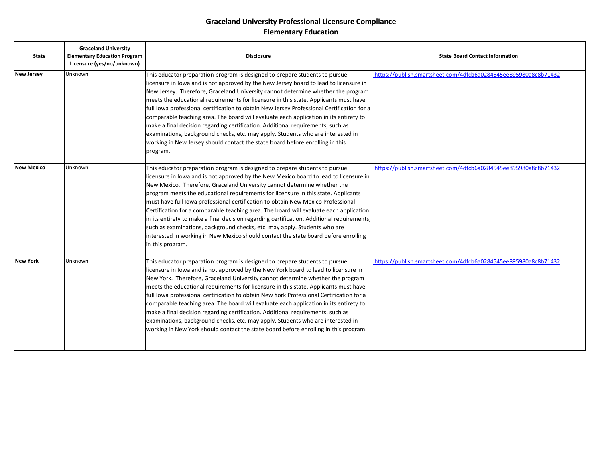| <b>State</b>      | <b>Graceland University</b><br><b>Elementary Education Program</b><br>Licensure (yes/no/unknown) | <b>Disclosure</b>                                                                                                                                                                                                                                                                                                                                                                                                                                                                                                                                                                                                                                                                                                                                                                                          | <b>State Board Contact Information</b>                          |
|-------------------|--------------------------------------------------------------------------------------------------|------------------------------------------------------------------------------------------------------------------------------------------------------------------------------------------------------------------------------------------------------------------------------------------------------------------------------------------------------------------------------------------------------------------------------------------------------------------------------------------------------------------------------------------------------------------------------------------------------------------------------------------------------------------------------------------------------------------------------------------------------------------------------------------------------------|-----------------------------------------------------------------|
| <b>New Jersey</b> | Unknown                                                                                          | This educator preparation program is designed to prepare students to pursue<br>licensure in lowa and is not approved by the New Jersey board to lead to licensure in<br>New Jersey. Therefore, Graceland University cannot determine whether the program<br>meets the educational requirements for licensure in this state. Applicants must have<br>full lowa professional certification to obtain New Jersey Professional Certification for a<br>comparable teaching area. The board will evaluate each application in its entirety to<br>make a final decision regarding certification. Additional requirements, such as<br>examinations, background checks, etc. may apply. Students who are interested in<br>working in New Jersey should contact the state board before enrolling in this<br>program. | https://publish.smartsheet.com/4dfcb6a0284545ee895980a8c8b71432 |
| <b>New Mexico</b> | Unknown                                                                                          | This educator preparation program is designed to prepare students to pursue<br>licensure in lowa and is not approved by the New Mexico board to lead to licensure in<br>New Mexico. Therefore, Graceland University cannot determine whether the<br>program meets the educational requirements for licensure in this state. Applicants<br>must have full lowa professional certification to obtain New Mexico Professional<br>Certification for a comparable teaching area. The board will evaluate each application<br>in its entirety to make a final decision regarding certification. Additional requirements,<br>such as examinations, background checks, etc. may apply. Students who are<br>interested in working in New Mexico should contact the state board before enrolling<br>in this program. | https://publish.smartsheet.com/4dfcb6a0284545ee895980a8c8b71432 |
| <b>New York</b>   | Unknown                                                                                          | This educator preparation program is designed to prepare students to pursue<br>licensure in lowa and is not approved by the New York board to lead to licensure in<br>New York. Therefore, Graceland University cannot determine whether the program<br>meets the educational requirements for licensure in this state. Applicants must have<br>full Iowa professional certification to obtain New York Professional Certification for a<br>comparable teaching area. The board will evaluate each application in its entirety to<br>make a final decision regarding certification. Additional requirements, such as<br>examinations, background checks, etc. may apply. Students who are interested in<br>working in New York should contact the state board before enrolling in this program.            | https://publish.smartsheet.com/4dfcb6a0284545ee895980a8c8b71432 |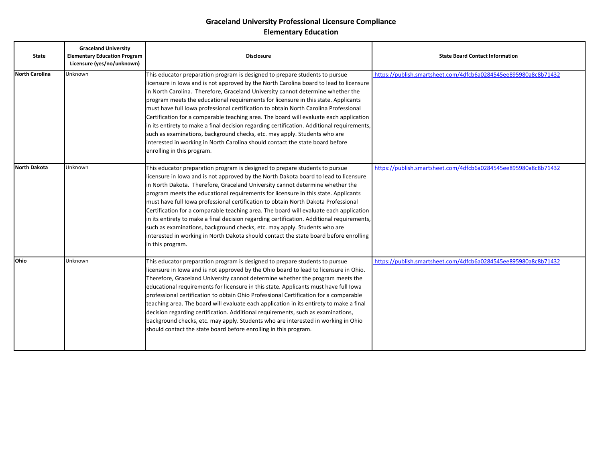| <b>State</b>          | <b>Graceland University</b><br><b>Elementary Education Program</b><br>Licensure (yes/no/unknown) | <b>Disclosure</b>                                                                                                                                                                                                                                                                                                                                                                                                                                                                                                                                                                                                                                                                                                                                                                                                          | <b>State Board Contact Information</b>                          |
|-----------------------|--------------------------------------------------------------------------------------------------|----------------------------------------------------------------------------------------------------------------------------------------------------------------------------------------------------------------------------------------------------------------------------------------------------------------------------------------------------------------------------------------------------------------------------------------------------------------------------------------------------------------------------------------------------------------------------------------------------------------------------------------------------------------------------------------------------------------------------------------------------------------------------------------------------------------------------|-----------------------------------------------------------------|
| <b>North Carolina</b> | Unknown                                                                                          | This educator preparation program is designed to prepare students to pursue<br>licensure in lowa and is not approved by the North Carolina board to lead to licensure<br>in North Carolina. Therefore, Graceland University cannot determine whether the<br>program meets the educational requirements for licensure in this state. Applicants<br>must have full lowa professional certification to obtain North Carolina Professional<br>Certification for a comparable teaching area. The board will evaluate each application<br>in its entirety to make a final decision regarding certification. Additional requirements,<br>such as examinations, background checks, etc. may apply. Students who are<br>interested in working in North Carolina should contact the state board before<br>enrolling in this program. | https://publish.smartsheet.com/4dfcb6a0284545ee895980a8c8b71432 |
| <b>North Dakota</b>   | Unknown                                                                                          | This educator preparation program is designed to prepare students to pursue<br>licensure in lowa and is not approved by the North Dakota board to lead to licensure<br>in North Dakota. Therefore, Graceland University cannot determine whether the<br>program meets the educational requirements for licensure in this state. Applicants<br>must have full Iowa professional certification to obtain North Dakota Professional<br>Certification for a comparable teaching area. The board will evaluate each application<br>in its entirety to make a final decision regarding certification. Additional requirements,<br>such as examinations, background checks, etc. may apply. Students who are<br>interested in working in North Dakota should contact the state board before enrolling<br>in this program.         | https://publish.smartsheet.com/4dfcb6a0284545ee895980a8c8b71432 |
| <b>Ohio</b>           | Unknown                                                                                          | This educator preparation program is designed to prepare students to pursue<br>licensure in Iowa and is not approved by the Ohio board to lead to licensure in Ohio.<br>Therefore, Graceland University cannot determine whether the program meets the<br>educational requirements for licensure in this state. Applicants must have full lowa<br>professional certification to obtain Ohio Professional Certification for a comparable<br>teaching area. The board will evaluate each application in its entirety to make a final<br>decision regarding certification. Additional requirements, such as examinations,<br>background checks, etc. may apply. Students who are interested in working in Ohio<br>should contact the state board before enrolling in this program.                                            | https://publish.smartsheet.com/4dfcb6a0284545ee895980a8c8b71432 |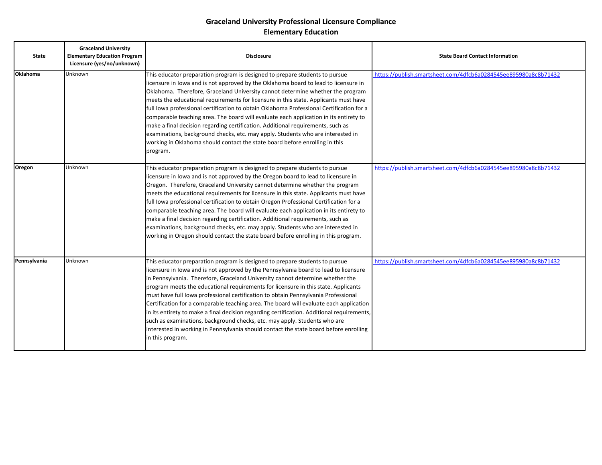| <b>State</b>    | <b>Graceland University</b><br><b>Elementary Education Program</b><br>Licensure (yes/no/unknown) | <b>Disclosure</b>                                                                                                                                                                                                                                                                                                                                                                                                                                                                                                                                                                                                                                                                                                                                                                                                  | <b>State Board Contact Information</b>                          |
|-----------------|--------------------------------------------------------------------------------------------------|--------------------------------------------------------------------------------------------------------------------------------------------------------------------------------------------------------------------------------------------------------------------------------------------------------------------------------------------------------------------------------------------------------------------------------------------------------------------------------------------------------------------------------------------------------------------------------------------------------------------------------------------------------------------------------------------------------------------------------------------------------------------------------------------------------------------|-----------------------------------------------------------------|
| <b>Oklahoma</b> | Unknown                                                                                          | This educator preparation program is designed to prepare students to pursue<br>licensure in lowa and is not approved by the Oklahoma board to lead to licensure in<br>Oklahoma. Therefore, Graceland University cannot determine whether the program<br>meets the educational requirements for licensure in this state. Applicants must have<br>full Iowa professional certification to obtain Oklahoma Professional Certification for a<br>comparable teaching area. The board will evaluate each application in its entirety to<br>make a final decision regarding certification. Additional requirements, such as<br>examinations, background checks, etc. may apply. Students who are interested in<br>working in Oklahoma should contact the state board before enrolling in this<br>program.                 | https://publish.smartsheet.com/4dfcb6a0284545ee895980a8c8b71432 |
| Oregon          | Unknown                                                                                          | This educator preparation program is designed to prepare students to pursue<br>licensure in lowa and is not approved by the Oregon board to lead to licensure in<br>Oregon. Therefore, Graceland University cannot determine whether the program<br>meets the educational requirements for licensure in this state. Applicants must have<br>full Iowa professional certification to obtain Oregon Professional Certification for a<br>comparable teaching area. The board will evaluate each application in its entirety to<br>make a final decision regarding certification. Additional requirements, such as<br>examinations, background checks, etc. may apply. Students who are interested in<br>working in Oregon should contact the state board before enrolling in this program.                            | https://publish.smartsheet.com/4dfcb6a0284545ee895980a8c8b71432 |
| Pennsylvania    | Unknown                                                                                          | This educator preparation program is designed to prepare students to pursue<br>licensure in lowa and is not approved by the Pennsylvania board to lead to licensure<br>in Pennsylvania. Therefore, Graceland University cannot determine whether the<br>program meets the educational requirements for licensure in this state. Applicants<br>must have full lowa professional certification to obtain Pennsylvania Professional<br>Certification for a comparable teaching area. The board will evaluate each application<br>in its entirety to make a final decision regarding certification. Additional requirements,<br>such as examinations, background checks, etc. may apply. Students who are<br>interested in working in Pennsylvania should contact the state board before enrolling<br>in this program. | https://publish.smartsheet.com/4dfcb6a0284545ee895980a8c8b71432 |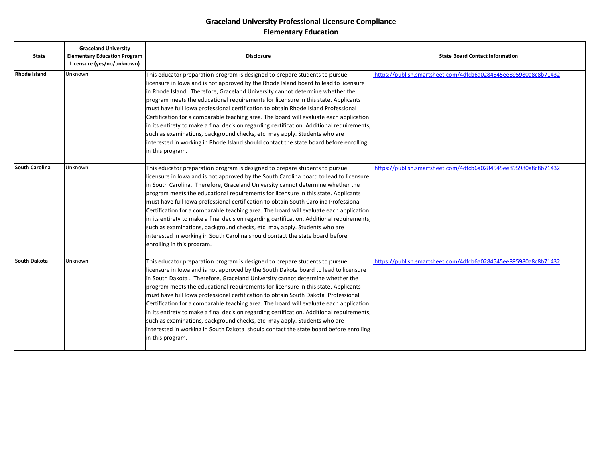| <b>State</b>          | <b>Graceland University</b><br><b>Elementary Education Program</b><br>Licensure (yes/no/unknown) | <b>Disclosure</b>                                                                                                                                                                                                                                                                                                                                                                                                                                                                                                                                                                                                                                                                                                                                                                                                          | <b>State Board Contact Information</b>                          |
|-----------------------|--------------------------------------------------------------------------------------------------|----------------------------------------------------------------------------------------------------------------------------------------------------------------------------------------------------------------------------------------------------------------------------------------------------------------------------------------------------------------------------------------------------------------------------------------------------------------------------------------------------------------------------------------------------------------------------------------------------------------------------------------------------------------------------------------------------------------------------------------------------------------------------------------------------------------------------|-----------------------------------------------------------------|
| <b>Rhode Island</b>   | Unknown                                                                                          | This educator preparation program is designed to prepare students to pursue<br>licensure in lowa and is not approved by the Rhode Island board to lead to licensure<br>in Rhode Island. Therefore, Graceland University cannot determine whether the<br>program meets the educational requirements for licensure in this state. Applicants<br>must have full Iowa professional certification to obtain Rhode Island Professional<br>Certification for a comparable teaching area. The board will evaluate each application<br>in its entirety to make a final decision regarding certification. Additional requirements,<br>such as examinations, background checks, etc. may apply. Students who are<br>interested in working in Rhode Island should contact the state board before enrolling<br>in this program.         | https://publish.smartsheet.com/4dfcb6a0284545ee895980a8c8b71432 |
| <b>South Carolina</b> | <b>Unknown</b>                                                                                   | This educator preparation program is designed to prepare students to pursue<br>licensure in lowa and is not approved by the South Carolina board to lead to licensure<br>in South Carolina. Therefore, Graceland University cannot determine whether the<br>program meets the educational requirements for licensure in this state. Applicants<br>must have full lowa professional certification to obtain South Carolina Professional<br>Certification for a comparable teaching area. The board will evaluate each application<br>in its entirety to make a final decision regarding certification. Additional requirements,<br>such as examinations, background checks, etc. may apply. Students who are<br>interested in working in South Carolina should contact the state board before<br>enrolling in this program. | https://publish.smartsheet.com/4dfcb6a0284545ee895980a8c8b71432 |
| <b>South Dakota</b>   | Unknown                                                                                          | This educator preparation program is designed to prepare students to pursue<br>licensure in lowa and is not approved by the South Dakota board to lead to licensure<br>in South Dakota. Therefore, Graceland University cannot determine whether the<br>program meets the educational requirements for licensure in this state. Applicants<br>must have full Iowa professional certification to obtain South Dakota Professional<br>Certification for a comparable teaching area. The board will evaluate each application<br>in its entirety to make a final decision regarding certification. Additional requirements,<br>such as examinations, background checks, etc. may apply. Students who are<br>interested in working in South Dakota should contact the state board before enrolling<br>in this program.         | https://publish.smartsheet.com/4dfcb6a0284545ee895980a8c8b71432 |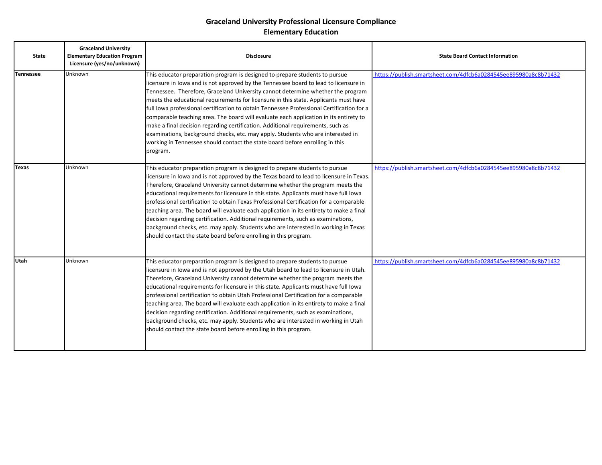| <b>State</b>     | <b>Graceland University</b><br><b>Elementary Education Program</b><br>Licensure (yes/no/unknown) | <b>Disclosure</b>                                                                                                                                                                                                                                                                                                                                                                                                                                                                                                                                                                                                                                                                                                                                                                                      | <b>State Board Contact Information</b>                          |
|------------------|--------------------------------------------------------------------------------------------------|--------------------------------------------------------------------------------------------------------------------------------------------------------------------------------------------------------------------------------------------------------------------------------------------------------------------------------------------------------------------------------------------------------------------------------------------------------------------------------------------------------------------------------------------------------------------------------------------------------------------------------------------------------------------------------------------------------------------------------------------------------------------------------------------------------|-----------------------------------------------------------------|
| <b>Tennessee</b> | Unknown                                                                                          | This educator preparation program is designed to prepare students to pursue<br>licensure in lowa and is not approved by the Tennessee board to lead to licensure in<br>Tennessee. Therefore, Graceland University cannot determine whether the program<br>meets the educational requirements for licensure in this state. Applicants must have<br>full Iowa professional certification to obtain Tennessee Professional Certification for a<br>comparable teaching area. The board will evaluate each application in its entirety to<br>make a final decision regarding certification. Additional requirements, such as<br>examinations, background checks, etc. may apply. Students who are interested in<br>working in Tennessee should contact the state board before enrolling in this<br>program. | https://publish.smartsheet.com/4dfcb6a0284545ee895980a8c8b71432 |
| <b>Texas</b>     | Unknown                                                                                          | This educator preparation program is designed to prepare students to pursue<br>licensure in lowa and is not approved by the Texas board to lead to licensure in Texas.<br>Therefore, Graceland University cannot determine whether the program meets the<br>educational requirements for licensure in this state. Applicants must have full lowa<br>professional certification to obtain Texas Professional Certification for a comparable<br>teaching area. The board will evaluate each application in its entirety to make a final<br>decision regarding certification. Additional requirements, such as examinations,<br>background checks, etc. may apply. Students who are interested in working in Texas<br>should contact the state board before enrolling in this program.                    | https://publish.smartsheet.com/4dfcb6a0284545ee895980a8c8b71432 |
| <b>Utah</b>      | Unknown                                                                                          | This educator preparation program is designed to prepare students to pursue<br>licensure in Iowa and is not approved by the Utah board to lead to licensure in Utah.<br>Therefore, Graceland University cannot determine whether the program meets the<br>educational requirements for licensure in this state. Applicants must have full lowa<br>professional certification to obtain Utah Professional Certification for a comparable<br>teaching area. The board will evaluate each application in its entirety to make a final<br>decision regarding certification. Additional requirements, such as examinations,<br>background checks, etc. may apply. Students who are interested in working in Utah<br>should contact the state board before enrolling in this program.                        | https://publish.smartsheet.com/4dfcb6a0284545ee895980a8c8b71432 |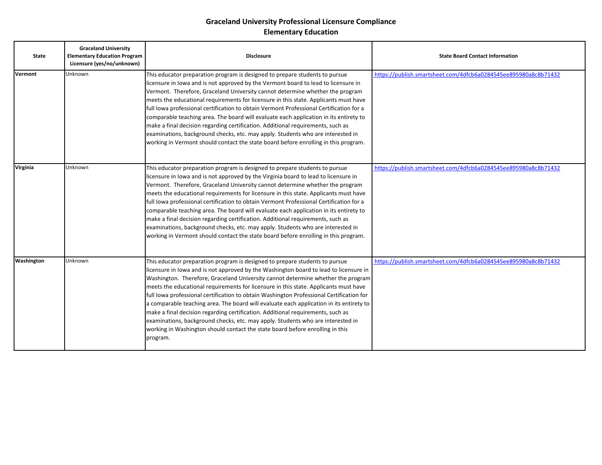| <b>State</b> | <b>Graceland University</b><br><b>Elementary Education Program</b><br>Licensure (yes/no/unknown) | <b>Disclosure</b>                                                                                                                                                                                                                                                                                                                                                                                                                                                                                                                                                                                                                                                                                                                                                                                          | <b>State Board Contact Information</b>                          |
|--------------|--------------------------------------------------------------------------------------------------|------------------------------------------------------------------------------------------------------------------------------------------------------------------------------------------------------------------------------------------------------------------------------------------------------------------------------------------------------------------------------------------------------------------------------------------------------------------------------------------------------------------------------------------------------------------------------------------------------------------------------------------------------------------------------------------------------------------------------------------------------------------------------------------------------------|-----------------------------------------------------------------|
| Vermont      | Unknown                                                                                          | This educator preparation program is designed to prepare students to pursue<br>licensure in lowa and is not approved by the Vermont board to lead to licensure in<br>Vermont. Therefore, Graceland University cannot determine whether the program<br>meets the educational requirements for licensure in this state. Applicants must have<br>full Iowa professional certification to obtain Vermont Professional Certification for a<br>comparable teaching area. The board will evaluate each application in its entirety to<br>make a final decision regarding certification. Additional requirements, such as<br>examinations, background checks, etc. may apply. Students who are interested in<br>working in Vermont should contact the state board before enrolling in this program.                | https://publish.smartsheet.com/4dfcb6a0284545ee895980a8c8b71432 |
| Virginia     | Unknown                                                                                          | This educator preparation program is designed to prepare students to pursue<br>licensure in lowa and is not approved by the Virginia board to lead to licensure in<br>Vermont. Therefore, Graceland University cannot determine whether the program<br>meets the educational requirements for licensure in this state. Applicants must have<br>full Iowa professional certification to obtain Vermont Professional Certification for a<br>comparable teaching area. The board will evaluate each application in its entirety to<br>make a final decision regarding certification. Additional requirements, such as<br>examinations, background checks, etc. may apply. Students who are interested in<br>working in Vermont should contact the state board before enrolling in this program.               | https://publish.smartsheet.com/4dfcb6a0284545ee895980a8c8b71432 |
| Washington   | Unknown                                                                                          | This educator preparation program is designed to prepare students to pursue<br>licensure in lowa and is not approved by the Washington board to lead to licensure in<br>Washington. Therefore, Graceland University cannot determine whether the program<br>meets the educational requirements for licensure in this state. Applicants must have<br>full Iowa professional certification to obtain Washington Professional Certification for<br>a comparable teaching area. The board will evaluate each application in its entirety to<br>make a final decision regarding certification. Additional requirements, such as<br>examinations, background checks, etc. may apply. Students who are interested in<br>working in Washington should contact the state board before enrolling in this<br>program. | https://publish.smartsheet.com/4dfcb6a0284545ee895980a8c8b71432 |